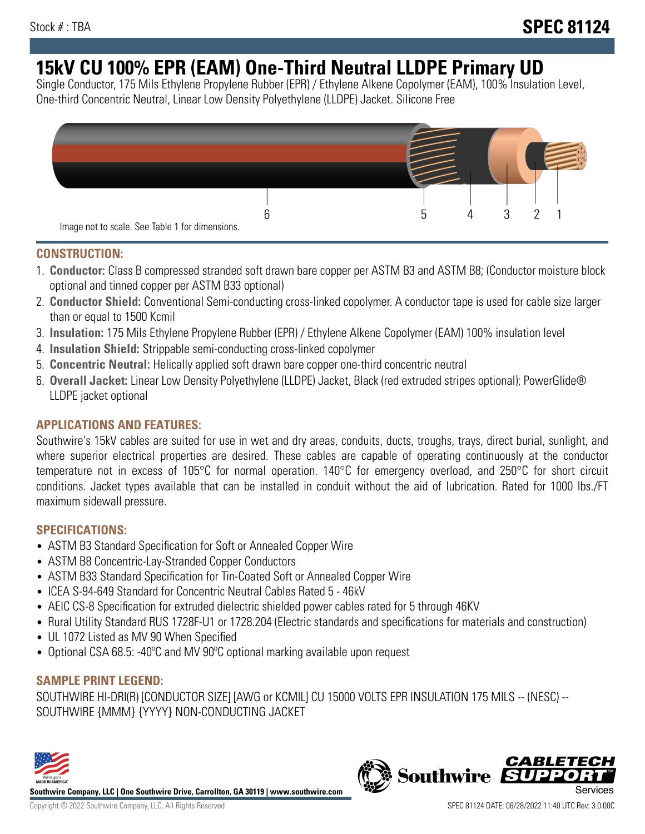# **15kV CU 100% EPR (EAM) One-Third Neutral LLDPE Primary UD**

Single Conductor, 175 Mils Ethylene Propylene Rubber (EPR) / Ethylene Alkene Copolymer (EAM), 100% Insulation Level, One-third Concentric Neutral, Linear Low Density Polyethylene (LLDPE) Jacket. Silicone Free



### **CONSTRUCTION:**

- 1. **Conductor:** Class B compressed stranded soft drawn bare copper per ASTM B3 and ASTM B8; (Conductor moisture block optional and tinned copper per ASTM B33 optional)
- 2. **Conductor Shield:** Conventional Semi-conducting cross-linked copolymer. A conductor tape is used for cable size larger than or equal to 1500 Kcmil
- 3. **Insulation:** 175 Mils Ethylene Propylene Rubber (EPR) / Ethylene Alkene Copolymer (EAM) 100% insulation level
- 4. **Insulation Shield:** Strippable semi-conducting cross-linked copolymer
- 5. **Concentric Neutral:** Helically applied soft drawn bare copper one-third concentric neutral
- 6. **Overall Jacket:** Linear Low Density Polyethylene (LLDPE) Jacket, Black (red extruded stripes optional); PowerGlide® LLDPE jacket optional

### **APPLICATIONS AND FEATURES:**

Southwire's 15kV cables are suited for use in wet and dry areas, conduits, ducts, troughs, trays, direct burial, sunlight, and where superior electrical properties are desired. These cables are capable of operating continuously at the conductor temperature not in excess of 105°C for normal operation. 140°C for emergency overload, and 250°C for short circuit conditions. Jacket types available that can be installed in conduit without the aid of lubrication. Rated for 1000 lbs./FT maximum sidewall pressure.

### **SPECIFICATIONS:**

- ASTM B3 Standard Specification for Soft or Annealed Copper Wire
- ASTM B8 Concentric-Lay-Stranded Copper Conductors
- ASTM B33 Standard Specification for Tin-Coated Soft or Annealed Copper Wire
- ICEA S-94-649 Standard for Concentric Neutral Cables Rated 5 46kV
- AEIC CS-8 Specification for extruded dielectric shielded power cables rated for 5 through 46KV
- Rural Utility Standard RUS 1728F-U1 or 1728.204 (Electric standards and specifications for materials and construction)
- UL 1072 Listed as MV 90 When Specified
- Optional CSA 68.5: -40°C and MV 90°C optional marking available upon request

## **SAMPLE PRINT LEGEND:**

SOUTHWIRE HI-DRI(R) [CONDUCTOR SIZE] [AWG or KCMIL] CU 15000 VOLTS EPR INSULATION 175 MILS -- (NESC) -- SOUTHWIRE {MMM} {YYYY} NON-CONDUCTING JACKET



**Southwire Company, LLC | One Southwire Drive, Carrollton, GA 30119 | www.southwire.com**